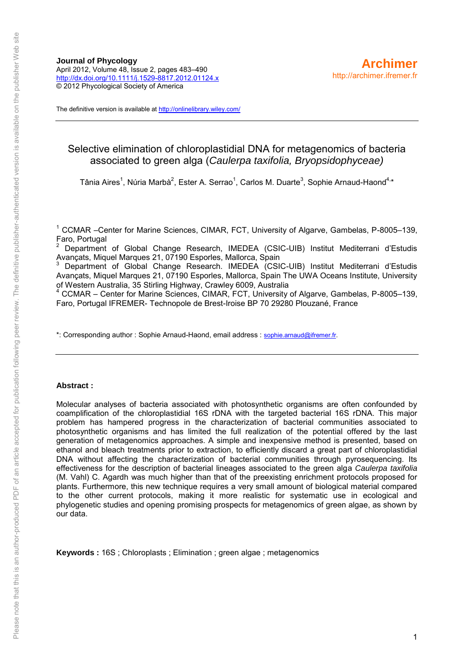The definitive version is available a[t http://onlinelibrary.wiley.com/](http://onlinelibrary.wiley.com/)

# Selective elimination of chloroplastidial DNA for metagenomics of bacteria associated to green alga (*Caulerpa taxifolia, Bryopsidophyceae)*

Tânia Aires<sup>1</sup>, Núria Marbà<sup>2</sup>, Ester A. Serrao<sup>1</sup>, Carlos M. Duarte<sup>3</sup>, Sophie Arnaud-Haond<sup>4,\*</sup>

<sup>1</sup> CCMAR -Center for Marine Sciences, CIMAR, FCT, University of Algarve, Gambelas, P-8005-139, Faro, Portugal

2 Department of Global Change Research, IMEDEA (CSIC-UIB) Institut Mediterrani d'Estudis Avançats, Miquel Marques 21, 07190 Esporles, Mallorca, Spain

3 Department of Global Change Research. IMEDEA (CSIC-UIB) Institut Mediterrani d'Estudis Avancats, Miquel Marques 21, 07190 Esporles, Mallorca, Spain The UWA Oceans Institute, University of Western Australia, 35 Stirling Highway, Crawley 6009, Australia

4 CCMAR – Center for Marine Sciences, CIMAR, FCT, University of Algarve, Gambelas, P-8005–139, Faro, Portugal IFREMER- Technopole de Brest-Iroise BP 70 29280 Plouzané, France

\*: Corresponding author : Sophie Arnaud-Haond, email address : [sophie.arnaud@ifremer.fr.](mailto:sophie.arnaud@ifremer.fr)

## **Abstract :**

Molecular analyses of bacteria associated with photosynthetic organisms are often confounded by coamplification of the chloroplastidial 16S rDNA with the targeted bacterial 16S rDNA. This major problem has hampered progress in the characterization of bacterial communities associated to photosynthetic organisms and has limited the full realization of the potential offered by the last generation of metagenomics approaches. A simple and inexpensive method is presented, based on ethanol and bleach treatments prior to extraction, to efficiently discard a great part of chloroplastidial DNA without affecting the characterization of bacterial communities through pyrosequencing. Its effectiveness for the description of bacterial lineages associated to the green alga *Caulerpa taxifolia* (M. Vahl) C. Agardh was much higher than that of the preexisting enrichment protocols proposed for plants. Furthermore, this new technique requires a very small amount of biological material compared to the other current protocols, making it more realistic for systematic use in ecological and phylogenetic studies and opening promising prospects for metagenomics of green algae, as shown by our data.

**Keywords :** 16S ; Chloroplasts ; Elimination ; green algae ; metagenomics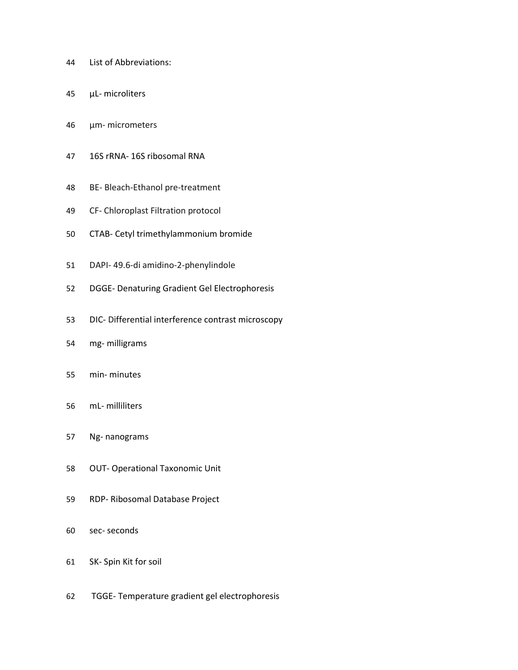- List of Abbreviations:
- µL- microliters
- μm- micrometers
- 16S rRNA- 16S ribosomal RNA
- BE- Bleach-Ethanol pre-treatment
- CF- Chloroplast Filtration protocol
- CTAB- Cetyl trimethylammonium bromide
- DAPI- 49.6-di amidino-2-phenylindole
- DGGE- Denaturing Gradient Gel Electrophoresis
- DIC- Differential interference contrast microscopy
- mg- milligrams
- min- minutes
- mL- milliliters
- Ng- nanograms
- OUT- Operational Taxonomic Unit
- RDP- Ribosomal Database Project
- sec- seconds
- SK- Spin Kit for soil
- TGGE- Temperature gradient gel electrophoresis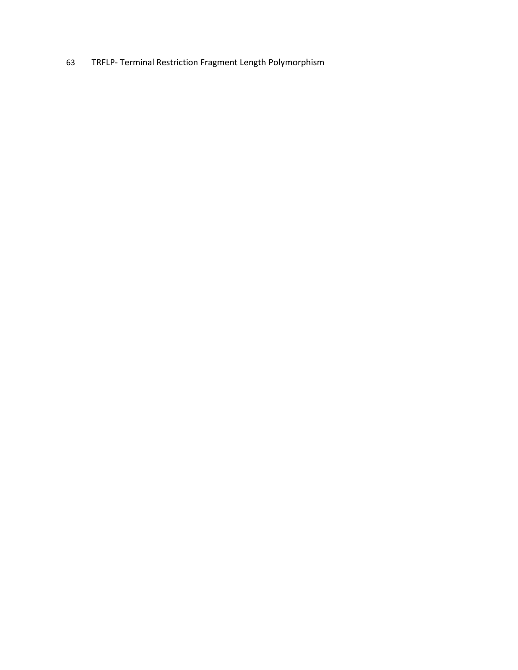TRFLP- Terminal Restriction Fragment Length Polymorphism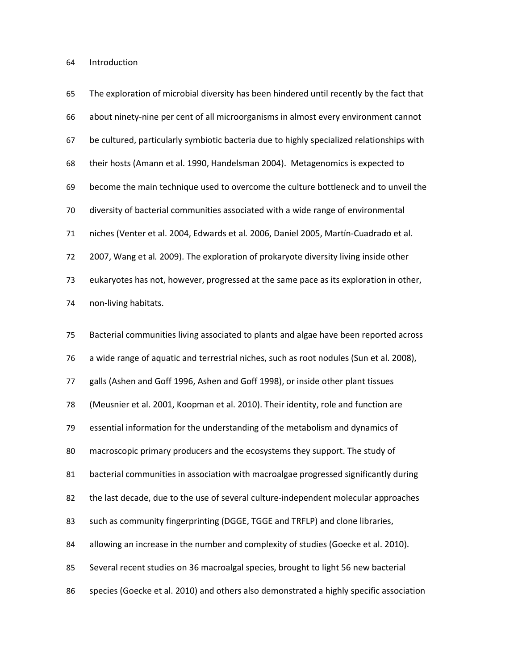Introduction

| 65 | The exploration of microbial diversity has been hindered until recently by the fact that  |
|----|-------------------------------------------------------------------------------------------|
| 66 | about ninety-nine per cent of all microorganisms in almost every environment cannot       |
| 67 | be cultured, particularly symbiotic bacteria due to highly specialized relationships with |
| 68 | their hosts (Amann et al. 1990, Handelsman 2004). Metagenomics is expected to             |
| 69 | become the main technique used to overcome the culture bottleneck and to unveil the       |
| 70 | diversity of bacterial communities associated with a wide range of environmental          |
| 71 | niches (Venter et al. 2004, Edwards et al. 2006, Daniel 2005, Martín-Cuadrado et al.      |
| 72 | 2007, Wang et al. 2009). The exploration of prokaryote diversity living inside other      |
| 73 | eukaryotes has not, however, progressed at the same pace as its exploration in other,     |
| 74 | non-living habitats.                                                                      |
| 75 | Bacterial communities living associated to plants and algae have been reported across     |
| 76 | a wide range of aquatic and terrestrial niches, such as root nodules (Sun et al. 2008),   |
| 77 | galls (Ashen and Goff 1996, Ashen and Goff 1998), or inside other plant tissues           |
| 78 | (Meusnier et al. 2001, Koopman et al. 2010). Their identity, role and function are        |
| 79 | essential information for the understanding of the metabolism and dynamics of             |
| 80 | macroscopic primary producers and the ecosystems they support. The study of               |
| 81 | bacterial communities in association with macroalgae progressed significantly during      |
| 82 | the last decade, due to the use of several culture-independent molecular approaches       |
| 83 | such as community fingerprinting (DGGE, TGGE and TRFLP) and clone libraries,              |
| 84 | allowing an increase in the number and complexity of studies (Goecke et al. 2010).        |
| 85 | Several recent studies on 36 macroalgal species, brought to light 56 new bacterial        |
| 86 | species (Goecke et al. 2010) and others also demonstrated a highly specific association   |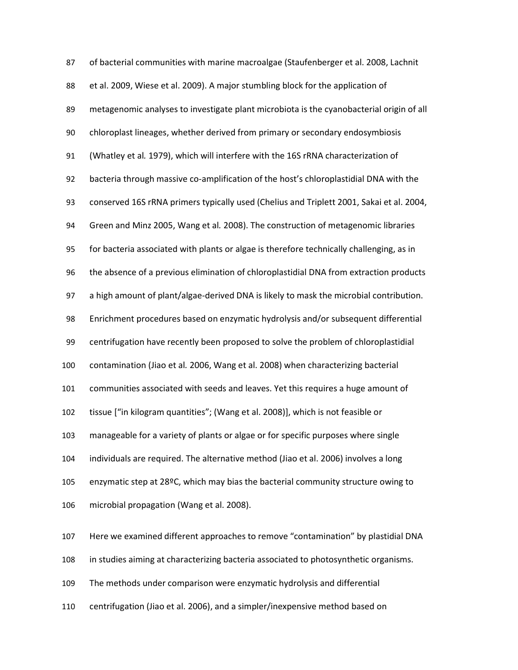| 87  | of bacterial communities with marine macroalgae (Staufenberger et al. 2008, Lachnit      |
|-----|------------------------------------------------------------------------------------------|
| 88  | et al. 2009, Wiese et al. 2009). A major stumbling block for the application of          |
| 89  | metagenomic analyses to investigate plant microbiota is the cyanobacterial origin of all |
| 90  | chloroplast lineages, whether derived from primary or secondary endosymbiosis            |
| 91  | (Whatley et al. 1979), which will interfere with the 16S rRNA characterization of        |
| 92  | bacteria through massive co-amplification of the host's chloroplastidial DNA with the    |
| 93  | conserved 16S rRNA primers typically used (Chelius and Triplett 2001, Sakai et al. 2004, |
| 94  | Green and Minz 2005, Wang et al. 2008). The construction of metagenomic libraries        |
| 95  | for bacteria associated with plants or algae is therefore technically challenging, as in |
| 96  | the absence of a previous elimination of chloroplastidial DNA from extraction products   |
| 97  | a high amount of plant/algae-derived DNA is likely to mask the microbial contribution.   |
| 98  | Enrichment procedures based on enzymatic hydrolysis and/or subsequent differential       |
| 99  | centrifugation have recently been proposed to solve the problem of chloroplastidial      |
| 100 | contamination (Jiao et al. 2006, Wang et al. 2008) when characterizing bacterial         |
| 101 | communities associated with seeds and leaves. Yet this requires a huge amount of         |
| 102 | tissue ["in kilogram quantities"; (Wang et al. 2008)], which is not feasible or          |
| 103 | manageable for a variety of plants or algae or for specific purposes where single        |
| 104 | individuals are required. The alternative method (Jiao et al. 2006) involves a long      |
| 105 | enzymatic step at 28ºC, which may bias the bacterial community structure owing to        |
| 106 | microbial propagation (Wang et al. 2008).                                                |
| 107 | Here we examined different approaches to remove "contamination" by plastidial DNA        |
| 108 | in studies aiming at characterizing bacteria associated to photosynthetic organisms.     |
| 109 | The methods under comparison were enzymatic hydrolysis and differential                  |

centrifugation (Jiao et al. 2006), and a simpler/inexpensive method based on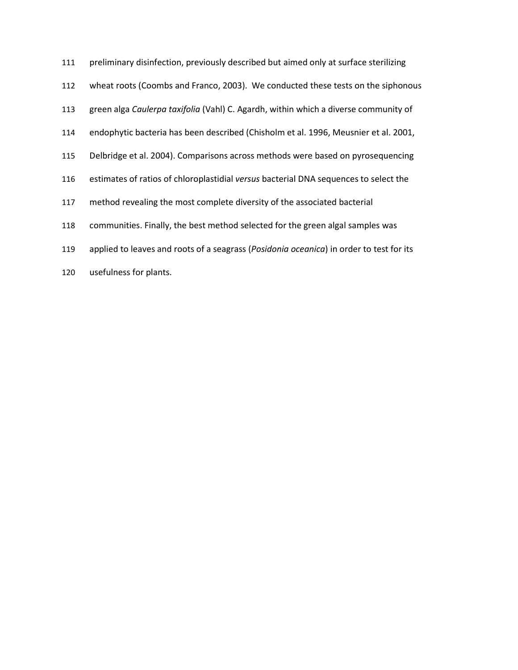| 111 | preliminary disinfection, previously described but aimed only at surface sterilizing    |
|-----|-----------------------------------------------------------------------------------------|
| 112 | wheat roots (Coombs and Franco, 2003). We conducted these tests on the siphonous        |
| 113 | green alga Caulerpa taxifolia (Vahl) C. Agardh, within which a diverse community of     |
| 114 | endophytic bacteria has been described (Chisholm et al. 1996, Meusnier et al. 2001,     |
| 115 | Delbridge et al. 2004). Comparisons across methods were based on pyrosequencing         |
| 116 | estimates of ratios of chloroplastidial versus bacterial DNA sequences to select the    |
| 117 | method revealing the most complete diversity of the associated bacterial                |
| 118 | communities. Finally, the best method selected for the green algal samples was          |
| 119 | applied to leaves and roots of a seagrass (Posidonia oceanica) in order to test for its |
|     |                                                                                         |

usefulness for plants.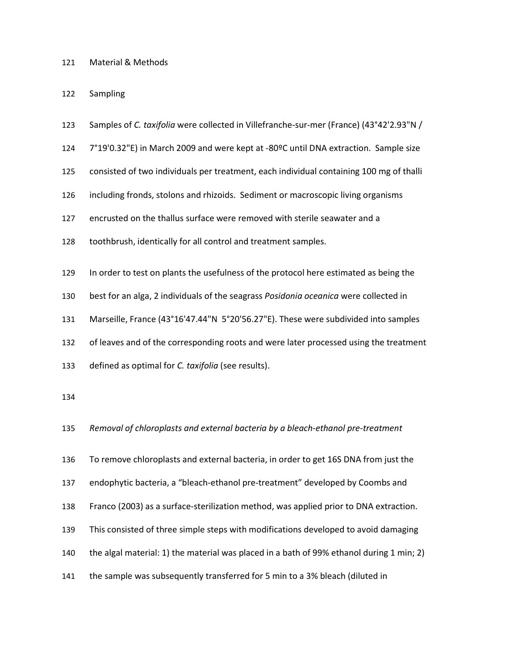## Material & Methods

Sampling

- Samples of *C. taxifolia* were collected in Villefranche-sur-mer (France) (43°42'2.93"N /
- 7°19'0.32"E) in March 2009 and were kept at -80ºC until DNA extraction. Sample size
- consisted of two individuals per treatment, each individual containing 100 mg of thalli
- including fronds, stolons and rhizoids. Sediment or macroscopic living organisms

encrusted on the thallus surface were removed with sterile seawater and a

- toothbrush, identically for all control and treatment samples.
- In order to test on plants the usefulness of the protocol here estimated as being the
- best for an alga, 2 individuals of the seagrass *Posidonia oceanica* were collected in
- Marseille, France (43°16'47.44"N 5°20'56.27"E). These were subdivided into samples
- of leaves and of the corresponding roots and were later processed using the treatment
- defined as optimal for *C. taxifolia* (see results).
- 
- *Removal of chloroplasts and external bacteria by a bleach-ethanol pre-treatment*
- To remove chloroplasts and external bacteria, in order to get 16S DNA from just the
- endophytic bacteria, a "bleach-ethanol pre-treatment" developed by Coombs and
- Franco (2003) as a surface-sterilization method, was applied prior to DNA extraction.
- This consisted of three simple steps with modifications developed to avoid damaging
- the algal material: 1) the material was placed in a bath of 99% ethanol during 1 min; 2)
- the sample was subsequently transferred for 5 min to a 3% bleach (diluted in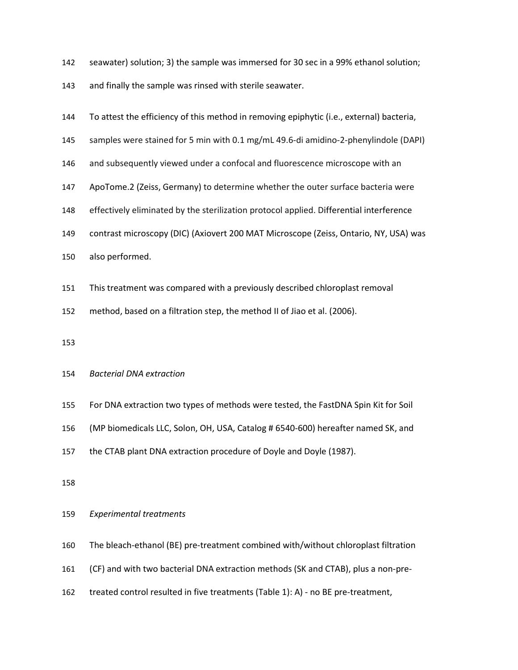- seawater) solution; 3) the sample was immersed for 30 sec in a 99% ethanol solution;
- and finally the sample was rinsed with sterile seawater.

| 144 | To attest the efficiency of this method in removing epiphytic (i.e., external) bacteria, |
|-----|------------------------------------------------------------------------------------------|
| 145 | samples were stained for 5 min with 0.1 mg/mL 49.6-di amidino-2-phenylindole (DAPI)      |
| 146 | and subsequently viewed under a confocal and fluorescence microscope with an             |
| 147 | ApoTome.2 (Zeiss, Germany) to determine whether the outer surface bacteria were          |
| 148 | effectively eliminated by the sterilization protocol applied. Differential interference  |
| 149 | contrast microscopy (DIC) (Axiovert 200 MAT Microscope (Zeiss, Ontario, NY, USA) was     |
| 150 | also performed.                                                                          |
| 151 | This treatment was compared with a previously described chloroplast removal              |
| 152 | method, based on a filtration step, the method II of Jiao et al. (2006).                 |
|     |                                                                                          |
| 153 |                                                                                          |
|     |                                                                                          |

## *Bacterial DNA extraction*

- For DNA extraction two types of methods were tested, the FastDNA Spin Kit for Soil
- (MP biomedicals LLC, Solon, OH, USA, Catalog # 6540-600) hereafter named SK, and
- the CTAB plant DNA extraction procedure of Doyle and Doyle (1987).
- 

## *Experimental treatments*

- The bleach-ethanol (BE) pre-treatment combined with/without chloroplast filtration
- (CF) and with two bacterial DNA extraction methods (SK and CTAB), plus a non-pre-
- treated control resulted in five treatments (Table 1): A) no BE pre-treatment,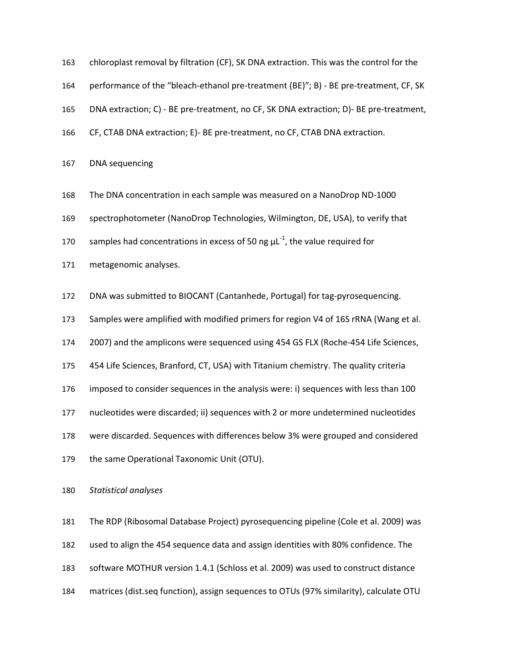| 163 | chloroplast removal by filtration (CF), SK DNA extraction. This was the control for the |
|-----|-----------------------------------------------------------------------------------------|
| 164 | performance of the "bleach-ethanol pre-treatment (BE)"; B) - BE pre-treatment, CF, SK   |
| 165 | DNA extraction; C) - BE pre-treatment, no CF, SK DNA extraction; D)- BE pre-treatment,  |
| 166 | CF, CTAB DNA extraction; E)- BE pre-treatment, no CF, CTAB DNA extraction.              |
| 167 | DNA sequencing                                                                          |

The DNA concentration in each sample was measured on a NanoDrop ND-1000

spectrophotometer (NanoDrop Technologies, Wilmington, DE, USA), to verify that

170 samples had concentrations in excess of 50 ng  $\mu L^{-1}$ , the value required for

metagenomic analyses.

DNA was submitted to BIOCANT (Cantanhede, Portugal) for tag-pyrosequencing.

Samples were amplified with modified primers for region V4 of 16S rRNA (Wang et al.

2007) and the amplicons were sequenced using 454 GS FLX (Roche-454 Life Sciences,

454 Life Sciences, Branford, CT, USA) with Titanium chemistry. The quality criteria

imposed to consider sequences in the analysis were: i) sequences with less than 100

nucleotides were discarded; ii) sequences with 2 or more undetermined nucleotides

were discarded. Sequences with differences below 3% were grouped and considered

179 the same Operational Taxonomic Unit (OTU).

*Statistical analyses* 

The RDP (Ribosomal Database Project) pyrosequencing pipeline (Cole et al. 2009) was used to align the 454 sequence data and assign identities with 80% confidence. The software MOTHUR version 1.4.1 (Schloss et al. 2009) was used to construct distance matrices (dist.seq function), assign sequences to OTUs (97% similarity), calculate OTU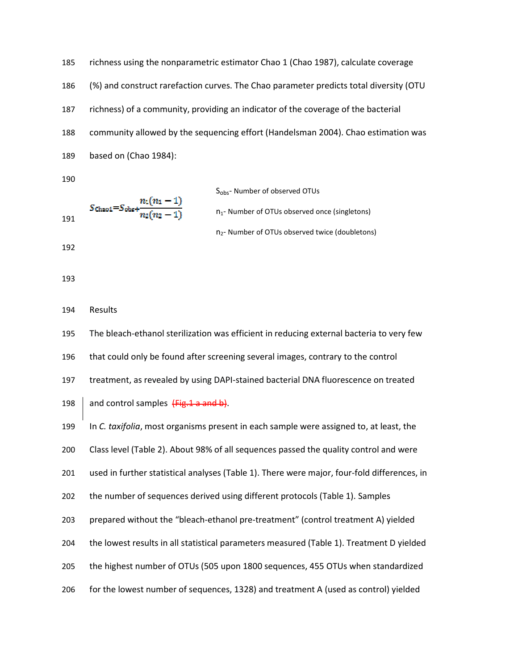richness using the nonparametric estimator Chao 1 (Chao 1987), calculate coverage (%) and construct rarefaction curves. The Chao parameter predicts total diversity (OTU richness) of a community, providing an indicator of the coverage of the bacterial community allowed by the sequencing effort (Handelsman 2004). Chao estimation was based on (Chao 1984):

$$
S_{\text{obs}} - \text{Number of observed OTUs}
$$
\n
$$
S_{\text{Chao1}} = S_{\text{obs}} + \frac{n_1(n_1 - 1)}{n_2(n_2 - 1)}
$$
\n
$$
S_{\text{obs}} - \text{Number of OTUs observed once (singletons)}
$$
\n
$$
n_2 - \text{Number of OTUs observed twice (doubletons)}
$$

### Results

The bleach-ethanol sterilization was efficient in reducing external bacteria to very few that could only be found after screening several images, contrary to the control treatment, as revealed by using DAPI-stained bacterial DNA fluorescence on treated  $\parallel$  and control samples  $\left\{\frac{Fig.1}{9}\right\}$  and b). In *C. taxifolia*, most organisms present in each sample were assigned to, at least, the Class level (Table 2). About 98% of all sequences passed the quality control and were used in further statistical analyses (Table 1). There were major, four-fold differences, in the number of sequences derived using different protocols (Table 1). Samples prepared without the "bleach-ethanol pre-treatment" (control treatment A) yielded the lowest results in all statistical parameters measured (Table 1). Treatment D yielded the highest number of OTUs (505 upon 1800 sequences, 455 OTUs when standardized

for the lowest number of sequences, 1328) and treatment A (used as control) yielded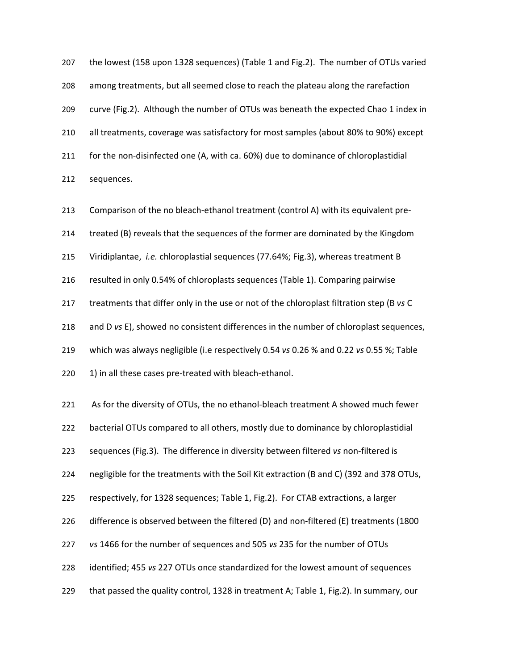the lowest (158 upon 1328 sequences) (Table 1 and Fig.2). The number of OTUs varied among treatments, but all seemed close to reach the plateau along the rarefaction curve (Fig.2). Although the number of OTUs was beneath the expected Chao 1 index in all treatments, coverage was satisfactory for most samples (about 80% to 90%) except for the non-disinfected one (A, with ca. 60%) due to dominance of chloroplastidial sequences.

Comparison of the no bleach-ethanol treatment (control A) with its equivalent pre-treated (B) reveals that the sequences of the former are dominated by the Kingdom Viridiplantae, *i.e.* chloroplastial sequences (77.64%; Fig.3), whereas treatment B resulted in only 0.54% of chloroplasts sequences (Table 1). Comparing pairwise treatments that differ only in the use or not of the chloroplast filtration step (B *vs* C and D *vs* E), showed no consistent differences in the number of chloroplast sequences, which was always negligible (i.e respectively 0.54 *vs* 0.26 % and 0.22 *vs* 0.55 %; Table 220 1) in all these cases pre-treated with bleach-ethanol. As for the diversity of OTUs, the no ethanol-bleach treatment A showed much fewer

bacterial OTUs compared to all others, mostly due to dominance by chloroplastidial sequences (Fig.3). The difference in diversity between filtered *vs* non-filtered is negligible for the treatments with the Soil Kit extraction (B and C) (392 and 378 OTUs, respectively, for 1328 sequences; Table 1, Fig.2). For CTAB extractions, a larger difference is observed between the filtered (D) and non-filtered (E) treatments (1800 *vs* 1466 for the number of sequences and 505 *vs* 235 for the number of OTUs identified; 455 *vs* 227 OTUs once standardized for the lowest amount of sequences that passed the quality control, 1328 in treatment A; Table 1, Fig.2). In summary, our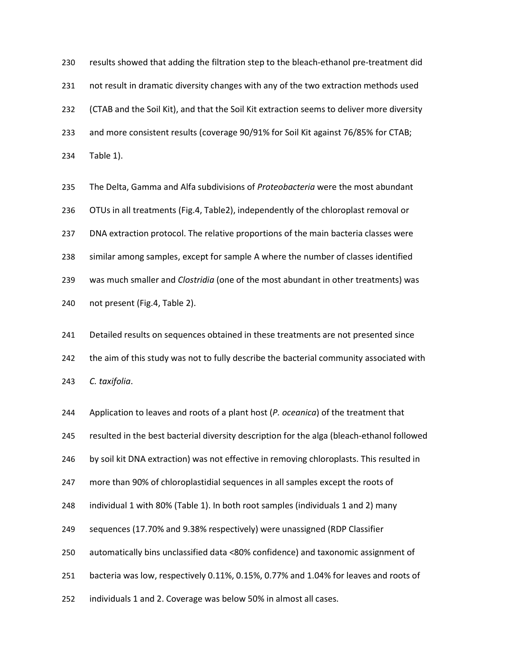results showed that adding the filtration step to the bleach-ethanol pre-treatment did not result in dramatic diversity changes with any of the two extraction methods used (CTAB and the Soil Kit), and that the Soil Kit extraction seems to deliver more diversity and more consistent results (coverage 90/91% for Soil Kit against 76/85% for CTAB; Table 1).

The Delta, Gamma and Alfa subdivisions of *Proteobacteria* were the most abundant OTUs in all treatments (Fig.4, Table2), independently of the chloroplast removal or DNA extraction protocol. The relative proportions of the main bacteria classes were similar among samples, except for sample A where the number of classes identified was much smaller and *Clostridia* (one of the most abundant in other treatments) was not present (Fig.4, Table 2).

Detailed results on sequences obtained in these treatments are not presented since the aim of this study was not to fully describe the bacterial community associated with *C. taxifolia*.

Application to leaves and roots of a plant host (*P. oceanica*) of the treatment that resulted in the best bacterial diversity description for the alga (bleach-ethanol followed by soil kit DNA extraction) was not effective in removing chloroplasts. This resulted in more than 90% of chloroplastidial sequences in all samples except the roots of individual 1 with 80% (Table 1). In both root samples (individuals 1 and 2) many sequences (17.70% and 9.38% respectively) were unassigned (RDP Classifier automatically bins unclassified data <80% confidence) and taxonomic assignment of bacteria was low, respectively 0.11%, 0.15%, 0.77% and 1.04% for leaves and roots of individuals 1 and 2. Coverage was below 50% in almost all cases.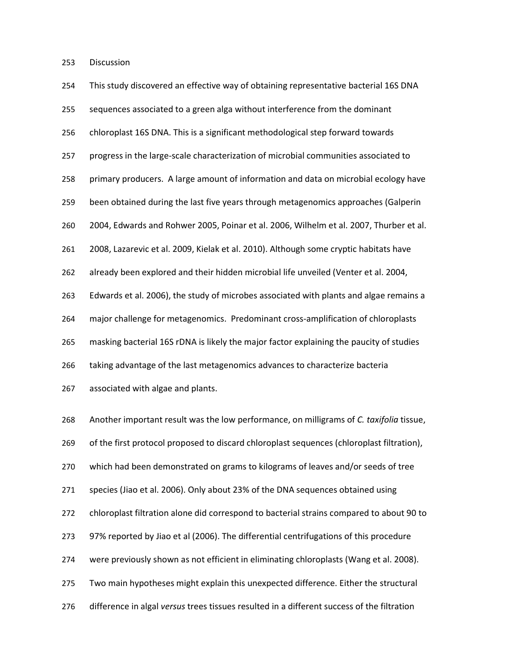Discussion

| 254 | This study discovered an effective way of obtaining representative bacterial 16S DNA       |
|-----|--------------------------------------------------------------------------------------------|
| 255 | sequences associated to a green alga without interference from the dominant                |
| 256 | chloroplast 16S DNA. This is a significant methodological step forward towards             |
| 257 | progress in the large-scale characterization of microbial communities associated to        |
| 258 | primary producers. A large amount of information and data on microbial ecology have        |
| 259 | been obtained during the last five years through metagenomics approaches (Galperin         |
| 260 | 2004, Edwards and Rohwer 2005, Poinar et al. 2006, Wilhelm et al. 2007, Thurber et al.     |
| 261 | 2008, Lazarevic et al. 2009, Kielak et al. 2010). Although some cryptic habitats have      |
| 262 | already been explored and their hidden microbial life unveiled (Venter et al. 2004,        |
| 263 | Edwards et al. 2006), the study of microbes associated with plants and algae remains a     |
| 264 | major challenge for metagenomics. Predominant cross-amplification of chloroplasts          |
| 265 | masking bacterial 16S rDNA is likely the major factor explaining the paucity of studies    |
| 266 | taking advantage of the last metagenomics advances to characterize bacteria                |
| 267 | associated with algae and plants.                                                          |
| 268 | Another important result was the low performance, on milligrams of C. taxifolia tissue,    |
| 269 | of the first protocol proposed to discard chloroplast sequences (chloroplast filtration),  |
| 270 | which had been demonstrated on grams to kilograms of leaves and/or seeds of tree           |
| 271 | species (Jiao et al. 2006). Only about 23% of the DNA sequences obtained using             |
| 272 | chloroplast filtration alone did correspond to bacterial strains compared to about 90 to   |
| 273 | 97% reported by Jiao et al (2006). The differential centrifugations of this procedure      |
| 274 | were previously shown as not efficient in eliminating chloroplasts (Wang et al. 2008).     |
| 275 | Two main hypotheses might explain this unexpected difference. Either the structural        |
| 276 | difference in algal versus trees tissues resulted in a different success of the filtration |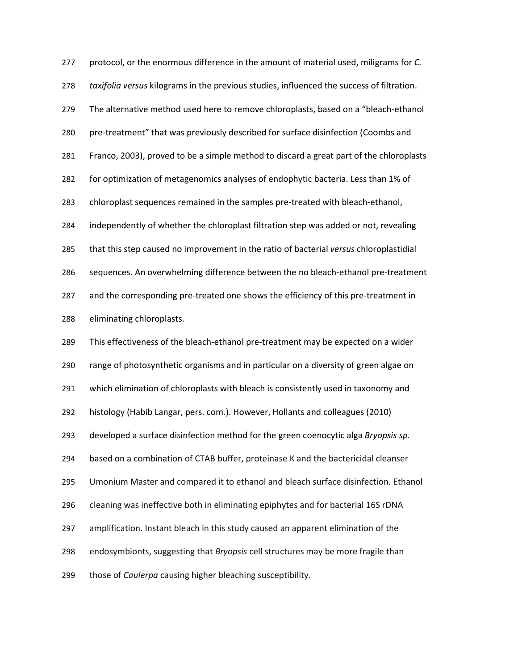protocol, or the enormous difference in the amount of material used, miligrams for *C. taxifolia versus* kilograms in the previous studies, influenced the success of filtration. The alternative method used here to remove chloroplasts, based on a "bleach-ethanol pre-treatment" that was previously described for surface disinfection (Coombs and Franco, 2003), proved to be a simple method to discard a great part of the chloroplasts for optimization of metagenomics analyses of endophytic bacteria. Less than 1% of chloroplast sequences remained in the samples pre-treated with bleach-ethanol, independently of whether the chloroplast filtration step was added or not, revealing that this step caused no improvement in the ratio of bacterial *versus* chloroplastidial sequences. An overwhelming difference between the no bleach-ethanol pre-treatment and the corresponding pre-treated one shows the efficiency of this pre-treatment in eliminating chloroplasts. This effectiveness of the bleach-ethanol pre-treatment may be expected on a wider range of photosynthetic organisms and in particular on a diversity of green algae on which elimination of chloroplasts with bleach is consistently used in taxonomy and histology (Habib Langar, pers. com.). However, Hollants and colleagues (2010) developed a surface disinfection method for the green coenocytic alga *Bryopsis sp.* based on a combination of CTAB buffer, proteinase K and the bactericidal cleanser Umonium Master and compared it to ethanol and bleach surface disinfection. Ethanol cleaning was ineffective both in eliminating epiphytes and for bacterial 16S rDNA amplification. Instant bleach in this study caused an apparent elimination of the endosymbionts, suggesting that *Bryopsis* cell structures may be more fragile than those of *Caulerpa* causing higher bleaching susceptibility.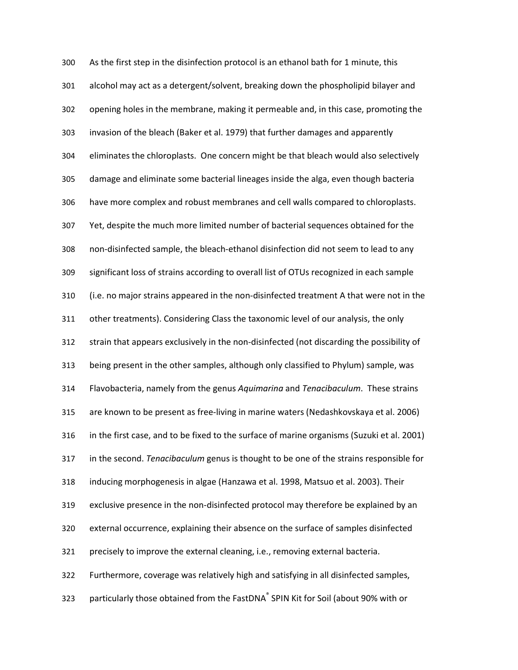As the first step in the disinfection protocol is an ethanol bath for 1 minute, this alcohol may act as a detergent/solvent, breaking down the phospholipid bilayer and opening holes in the membrane, making it permeable and, in this case, promoting the invasion of the bleach (Baker et al. 1979) that further damages and apparently eliminates the chloroplasts. One concern might be that bleach would also selectively damage and eliminate some bacterial lineages inside the alga, even though bacteria have more complex and robust membranes and cell walls compared to chloroplasts. Yet, despite the much more limited number of bacterial sequences obtained for the non-disinfected sample, the bleach-ethanol disinfection did not seem to lead to any significant loss of strains according to overall list of OTUs recognized in each sample (i.e. no major strains appeared in the non-disinfected treatment A that were not in the other treatments). Considering Class the taxonomic level of our analysis, the only strain that appears exclusively in the non-disinfected (not discarding the possibility of being present in the other samples, although only classified to Phylum) sample, was Flavobacteria, namely from the genus *Aquimarina* and *Tenacibaculum*. These strains are known to be present as free-living in marine waters (Nedashkovskaya et al. 2006) in the first case, and to be fixed to the surface of marine organisms (Suzuki et al. 2001) in the second. *Tenacibaculum* genus is thought to be one of the strains responsible for inducing morphogenesis in algae (Hanzawa et al. 1998, Matsuo et al. 2003). Their exclusive presence in the non-disinfected protocol may therefore be explained by an external occurrence, explaining their absence on the surface of samples disinfected precisely to improve the external cleaning, i.e., removing external bacteria. Furthermore, coverage was relatively high and satisfying in all disinfected samples, 323 particularly those obtained from the FastDNA® SPIN Kit for Soil (about 90% with or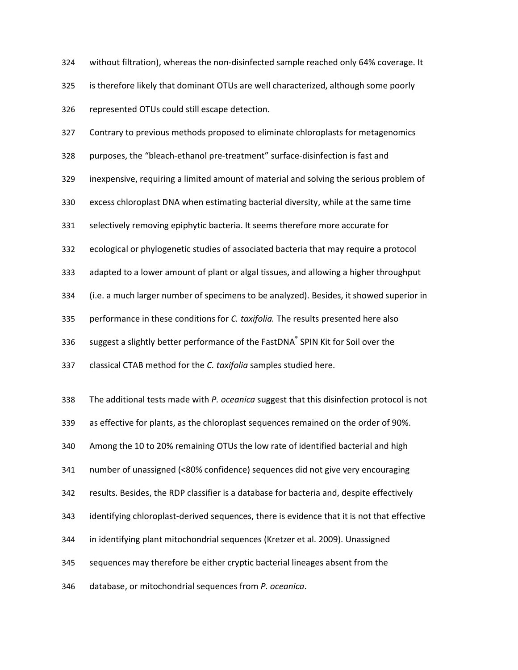without filtration), whereas the non-disinfected sample reached only 64% coverage. It is therefore likely that dominant OTUs are well characterized, although some poorly represented OTUs could still escape detection.

Contrary to previous methods proposed to eliminate chloroplasts for metagenomics purposes, the "bleach-ethanol pre-treatment" surface-disinfection is fast and inexpensive, requiring a limited amount of material and solving the serious problem of excess chloroplast DNA when estimating bacterial diversity, while at the same time selectively removing epiphytic bacteria. It seems therefore more accurate for ecological or phylogenetic studies of associated bacteria that may require a protocol adapted to a lower amount of plant or algal tissues, and allowing a higher throughput (i.e. a much larger number of specimens to be analyzed). Besides, it showed superior in performance in these conditions for *C. taxifolia.* The results presented here also 336 suggest a slightly better performance of the FastDNA® SPIN Kit for Soil over the classical CTAB method for the *C. taxifolia* samples studied here. The additional tests made with *P. oceanica* suggest that this disinfection protocol is not as effective for plants, as the chloroplast sequences remained on the order of 90%. Among the 10 to 20% remaining OTUs the low rate of identified bacterial and high number of unassigned (<80% confidence) sequences did not give very encouraging

results. Besides, the RDP classifier is a database for bacteria and, despite effectively

identifying chloroplast-derived sequences, there is evidence that it is not that effective

in identifying plant mitochondrial sequences (Kretzer et al. 2009). Unassigned

sequences may therefore be either cryptic bacterial lineages absent from the

database, or mitochondrial sequences from *P. oceanica*.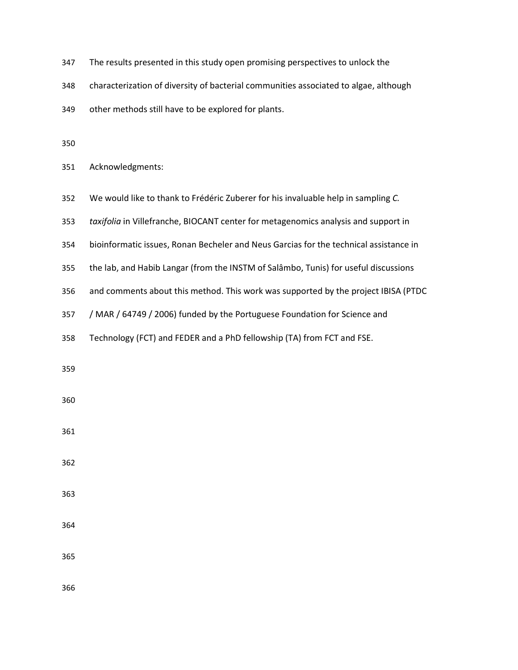- The results presented in this study open promising perspectives to unlock the
- characterization of diversity of bacterial communities associated to algae, although
- other methods still have to be explored for plants.
- 
- Acknowledgments:
- We would like to thank to Frédéric Zuberer for his invaluable help in sampling *C.*
- *taxifolia* in Villefranche, BIOCANT center for metagenomics analysis and support in
- bioinformatic issues, Ronan Becheler and Neus Garcias for the technical assistance in
- the lab, and Habib Langar (from the INSTM of Salâmbo, Tunis) for useful discussions
- and comments about this method. This work was supported by the project IBISA (PTDC
- / MAR / 64749 / 2006) funded by the Portuguese Foundation for Science and
- Technology (FCT) and FEDER and a PhD fellowship (TA) from FCT and FSE.
- 

- 
- 
- 
- 
- 
-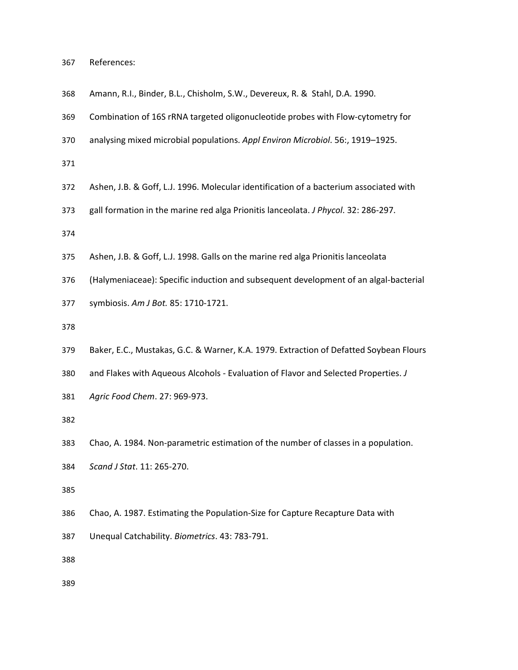| 367 | References: |
|-----|-------------|
|-----|-------------|

- Amann, R.I., Binder, B.L., Chisholm, S.W., Devereux, R. & Stahl, D.A. 1990.
- Combination of 16S rRNA targeted oligonucleotide probes with Flow-cytometry for
- analysing mixed microbial populations. *Appl Environ Microbiol*. 56:, 1919–1925.
- 
- Ashen, J.B. & Goff, L.J. 1996. Molecular identification of a bacterium associated with
- gall formation in the marine red alga Prionitis lanceolata. *J Phycol*. 32: 286-297.
- 
- Ashen, J.B. & Goff, L.J. 1998. Galls on the marine red alga Prionitis lanceolata
- (Halymeniaceae): Specific induction and subsequent development of an algal-bacterial
- symbiosis. *Am J Bot.* 85: 1710-1721.
- 
- Baker, E.C., Mustakas, G.C. & Warner, K.A. 1979. Extraction of Defatted Soybean Flours
- and Flakes with Aqueous Alcohols Evaluation of Flavor and Selected Properties. *J*
- *Agric Food Chem*. 27: 969-973.
- 
- Chao, A. 1984. Non-parametric estimation of the number of classes in a population.
- *Scand J Stat*. 11: 265-270.
- 
- Chao, A. 1987. Estimating the Population-Size for Capture Recapture Data with
- Unequal Catchability. *Biometrics*. 43: 783-791.
- 
-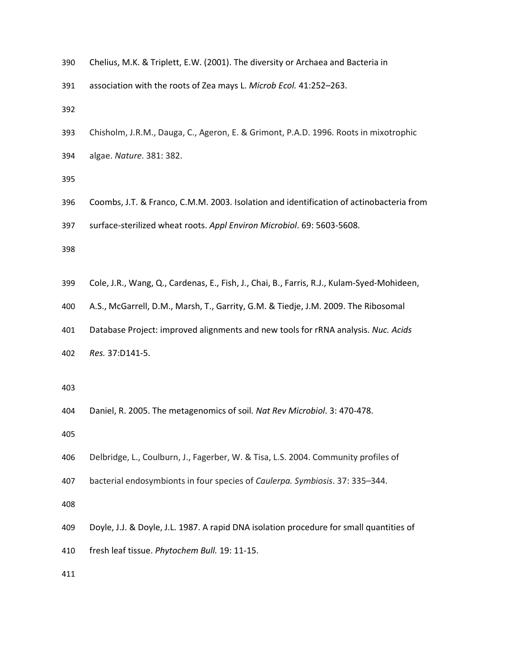| 390 | Chelius, M.K. & Triplett, E.W. (2001). The diversity or Archaea and Bacteria in |  |  |  |  |  |
|-----|---------------------------------------------------------------------------------|--|--|--|--|--|
|-----|---------------------------------------------------------------------------------|--|--|--|--|--|

association with the roots of Zea mays L. *Microb Ecol.* 41:252–263.

- Chisholm, J.R.M., Dauga, C., Ageron, E. & Grimont, P.A.D. 1996. Roots in mixotrophic
- algae. *Nature*. 381: 382.

- Coombs, J.T. & Franco, C.M.M. 2003. Isolation and identification of actinobacteria from
- surface-sterilized wheat roots. *Appl Environ Microbiol*. 69: 5603-5608.

- Cole, J.R., Wang, Q., Cardenas, E., Fish, J., Chai, B., Farris, R.J., Kulam-Syed-Mohideen,
- A.S., McGarrell, D.M., Marsh, T., Garrity, G.M. & Tiedje, J.M. 2009. The Ribosomal
- Database Project: improved alignments and new tools for rRNA analysis. *Nuc. Acids*
- *Res.* 37:D141-5.
- 
- Daniel, R. 2005. The metagenomics of soil*. Nat Rev Microbiol*. 3: 470-478.

- Delbridge, L., Coulburn, J., Fagerber, W. & Tisa, L.S. 2004. Community profiles of
- bacterial endosymbionts in four species of *Caulerpa. Symbiosis*. 37: 335–344.

- Doyle, J.J. & Doyle, J.L. 1987. A rapid DNA isolation procedure for small quantities of
- fresh leaf tissue. *Phytochem Bull.* 19: 11-15.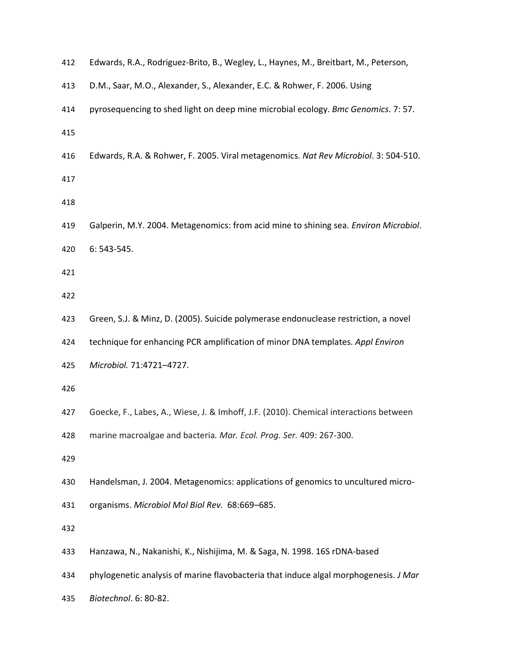| 412 | Edwards, R.A., Rodriguez-Brito, B., Wegley, L., Haynes, M., Breitbart, M., Peterson,  |
|-----|---------------------------------------------------------------------------------------|
| 413 | D.M., Saar, M.O., Alexander, S., Alexander, E.C. & Rohwer, F. 2006. Using             |
| 414 | pyrosequencing to shed light on deep mine microbial ecology. Bmc Genomics. 7: 57.     |
| 415 |                                                                                       |
| 416 | Edwards, R.A. & Rohwer, F. 2005. Viral metagenomics. Nat Rev Microbiol. 3: 504-510.   |
| 417 |                                                                                       |
| 418 |                                                                                       |
| 419 | Galperin, M.Y. 2004. Metagenomics: from acid mine to shining sea. Environ Microbiol.  |
| 420 | 6: 543-545.                                                                           |
| 421 |                                                                                       |
| 422 |                                                                                       |
| 423 | Green, S.J. & Minz, D. (2005). Suicide polymerase endonuclease restriction, a novel   |
| 424 | technique for enhancing PCR amplification of minor DNA templates. Appl Environ        |
| 425 | Microbiol. 71:4721-4727.                                                              |
| 426 |                                                                                       |
| 427 | Goecke, F., Labes, A., Wiese, J. & Imhoff, J.F. (2010). Chemical interactions between |
| 428 | marine macroalgae and bacteria. Mar. Ecol. Prog. Ser. 409: 267-300.                   |
| 429 |                                                                                       |
| 430 | Handelsman, J. 2004. Metagenomics: applications of genomics to uncultured micro-      |
| 431 | organisms. Microbiol Mol Biol Rev. 68:669-685.                                        |
| 432 |                                                                                       |
| 433 | Hanzawa, N., Nakanishi, K., Nishijima, M. & Saga, N. 1998. 16S rDNA-based             |
| 434 | phylogenetic analysis of marine flavobacteria that induce algal morphogenesis. J Mar  |
| 435 | Biotechnol. 6: 80-82.                                                                 |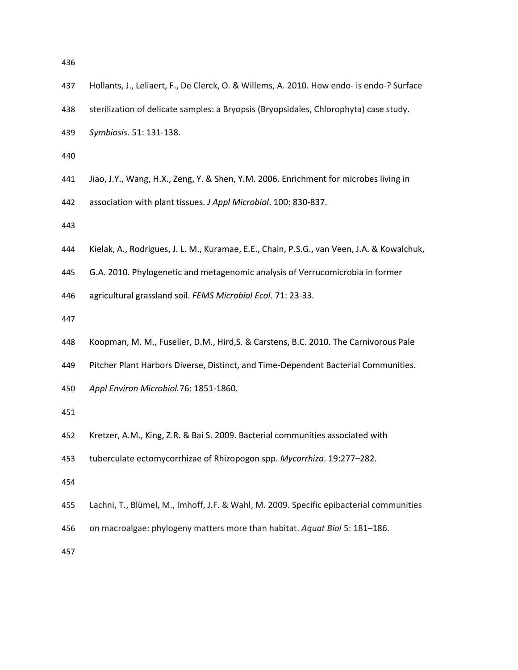| 437 | Hollants, J., Leliaert, F., De Clerck, O. & Willems, A. 2010. How endo- is endo-? Surface  |
|-----|--------------------------------------------------------------------------------------------|
| 438 | sterilization of delicate samples: a Bryopsis (Bryopsidales, Chlorophyta) case study.      |
| 439 | Symbiosis. 51: 131-138.                                                                    |
| 440 |                                                                                            |
| 441 | Jiao, J.Y., Wang, H.X., Zeng, Y. & Shen, Y.M. 2006. Enrichment for microbes living in      |
| 442 | association with plant tissues. J Appl Microbiol. 100: 830-837.                            |
| 443 |                                                                                            |
| 444 | Kielak, A., Rodrigues, J. L. M., Kuramae, E.E., Chain, P.S.G., van Veen, J.A. & Kowalchuk, |
| 445 | G.A. 2010. Phylogenetic and metagenomic analysis of Verrucomicrobia in former              |
| 446 | agricultural grassland soil. FEMS Microbiol Ecol. 71: 23-33.                               |
| 447 |                                                                                            |
| 448 | Koopman, M. M., Fuselier, D.M., Hird, S. & Carstens, B.C. 2010. The Carnivorous Pale       |
| 449 | Pitcher Plant Harbors Diverse, Distinct, and Time-Dependent Bacterial Communities.         |
| 450 | Appl Environ Microbiol.76: 1851-1860.                                                      |
| 451 |                                                                                            |
| 452 | Kretzer, A.M., King, Z.R. & Bai S. 2009. Bacterial communities associated with             |
| 453 | tuberculate ectomycorrhizae of Rhizopogon spp. Mycorrhiza. 19:277-282.                     |
| 454 |                                                                                            |
| 455 | Lachni, T., Blümel, M., Imhoff, J.F. & Wahl, M. 2009. Specific epibacterial communities    |
| 456 | on macroalgae: phylogeny matters more than habitat. Aquat Biol 5: 181-186.                 |
| 457 |                                                                                            |
|     |                                                                                            |
|     |                                                                                            |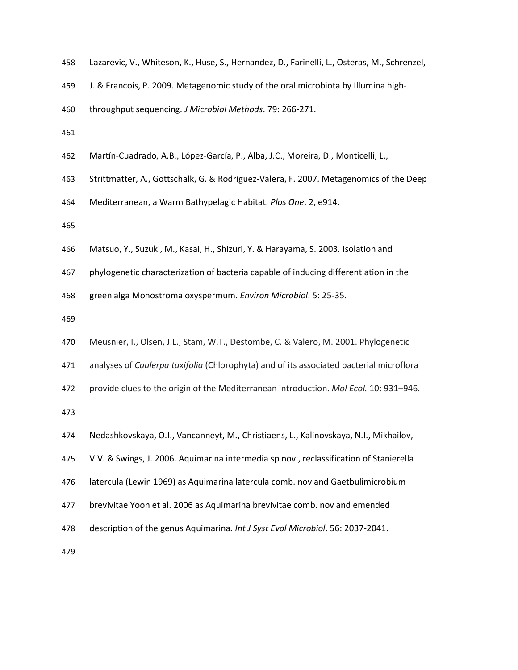|  |  |  |  |  |  |  | 458 Lazarevic, V., Whiteson, K., Huse, S., Hernandez, D., Farinelli, L., Osteras, M., Schrenzel, |
|--|--|--|--|--|--|--|--------------------------------------------------------------------------------------------------|
|--|--|--|--|--|--|--|--------------------------------------------------------------------------------------------------|

- J. & Francois, P. 2009. Metagenomic study of the oral microbiota by Illumina high-
- throughput sequencing. *J Microbiol Methods*. 79: 266-271.
- 
- Martín-Cuadrado, A.B., López-García, P., Alba, J.C., Moreira, D., Monticelli, L.,
- Strittmatter, A., Gottschalk, G. & Rodríguez-Valera, F. 2007. Metagenomics of the Deep
- Mediterranean, a Warm Bathypelagic Habitat. *Plos One*. 2, e914.
- 
- Matsuo, Y., Suzuki, M., Kasai, H., Shizuri, Y. & Harayama, S. 2003. Isolation and
- phylogenetic characterization of bacteria capable of inducing differentiation in the
- green alga Monostroma oxyspermum. *Environ Microbiol*. 5: 25-35.
- 
- Meusnier, I., Olsen, J.L., Stam, W.T., Destombe, C. & Valero, M. 2001. Phylogenetic
- analyses of *Caulerpa taxifolia* (Chlorophyta) and of its associated bacterial microflora
- provide clues to the origin of the Mediterranean introduction. *Mol Ecol.* 10: 931–946.

- Nedashkovskaya, O.I., Vancanneyt, M., Christiaens, L., Kalinovskaya, N.I., Mikhailov,
- V.V. & Swings, J. 2006. Aquimarina intermedia sp nov., reclassification of Stanierella
- latercula (Lewin 1969) as Aquimarina latercula comb. nov and Gaetbulimicrobium
- brevivitae Yoon et al. 2006 as Aquimarina brevivitae comb. nov and emended
- description of the genus Aquimarina*. Int J Syst Evol Microbiol*. 56: 2037-2041.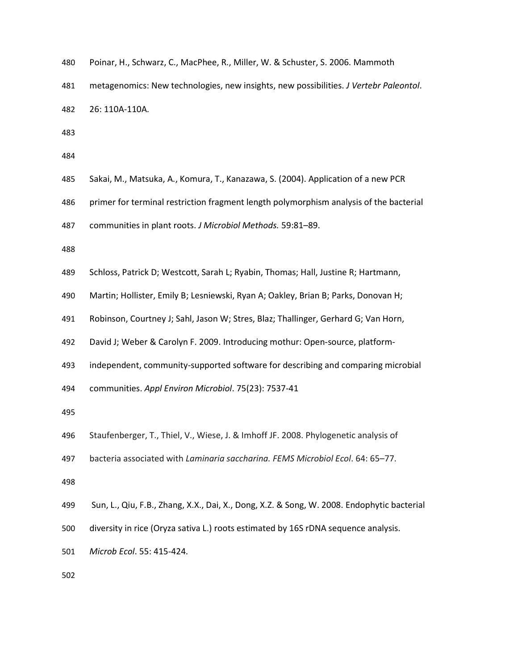| 480 |  |  | Poinar, H., Schwarz, C., MacPhee, R., Miller, W. & Schuster, S. 2006. Mammoth |  |  |  |  |
|-----|--|--|-------------------------------------------------------------------------------|--|--|--|--|
|-----|--|--|-------------------------------------------------------------------------------|--|--|--|--|

metagenomics: New technologies, new insights, new possibilities. *J Vertebr Paleontol*.

- 26: 110A-110A.
- 
- 
- Sakai, M., Matsuka, A., Komura, T., Kanazawa, S. (2004). Application of a new PCR
- primer for terminal restriction fragment length polymorphism analysis of the bacterial
- communities in plant roots. *J Microbiol Methods.* 59:81–89.
- 
- Schloss, Patrick D; Westcott, Sarah L; Ryabin, Thomas; Hall, Justine R; Hartmann,
- Martin; Hollister, Emily B; Lesniewski, Ryan A; Oakley, Brian B; Parks, Donovan H;
- Robinson, Courtney J; Sahl, Jason W; Stres, Blaz; Thallinger, Gerhard G; Van Horn,
- David J; Weber & Carolyn F. 2009. Introducing mothur: Open-source, platform-
- independent, community-supported software for describing and comparing microbial
- communities. *Appl Environ Microbiol*. 75(23): 7537-41
- 
- Staufenberger, T., Thiel, V., Wiese, J. & Imhoff JF. 2008. Phylogenetic analysis of
- bacteria associated with *Laminaria saccharina. FEMS Microbiol Ecol*. 64: 65–77.
- 
- Sun, L., Qiu, F.B., Zhang, X.X., Dai, X., Dong, X.Z. & Song, W. 2008. Endophytic bacterial
- diversity in rice (Oryza sativa L.) roots estimated by 16S rDNA sequence analysis.
- *Microb Ecol*. 55: 415-424.
-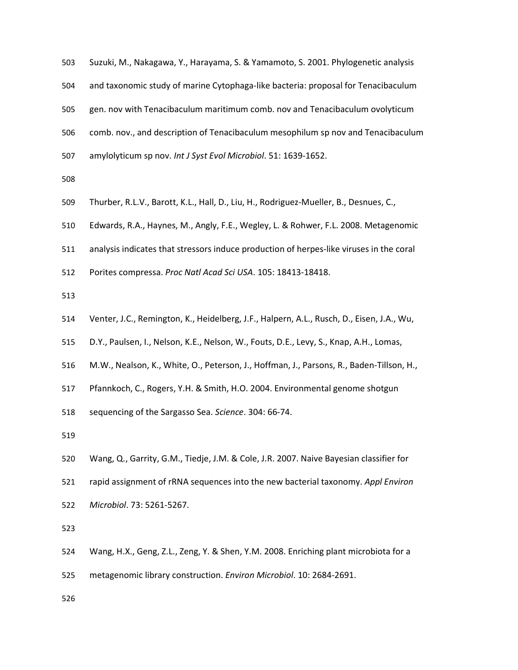| 503 | Suzuki, M., Nakagawa, Y., Harayama, S. & Yamamoto, S. 2001. Phylogenetic analysis     |
|-----|---------------------------------------------------------------------------------------|
| 504 | and taxonomic study of marine Cytophaga-like bacteria: proposal for Tenacibaculum     |
| 505 | gen. nov with Tenacibaculum maritimum comb. nov and Tenacibaculum ovolyticum          |
| 506 | comb. nov., and description of Tenacibaculum mesophilum sp nov and Tenacibaculum      |
| 507 | amylolyticum sp nov. Int J Syst Evol Microbiol. 51: 1639-1652.                        |
| 508 |                                                                                       |
| 509 | Thurber, R.L.V., Barott, K.L., Hall, D., Liu, H., Rodriguez-Mueller, B., Desnues, C., |
|     |                                                                                       |

- Edwards, R.A., Haynes, M., Angly, F.E., Wegley, L. & Rohwer, F.L. 2008. Metagenomic
- analysis indicates that stressors induce production of herpes-like viruses in the coral
- Porites compressa. *Proc Natl Acad Sci USA*. 105: 18413-18418.
- 
- Venter, J.C., Remington, K., Heidelberg, J.F., Halpern, A.L., Rusch, D., Eisen, J.A., Wu,
- D.Y., Paulsen, I., Nelson, K.E., Nelson, W., Fouts, D.E., Levy, S., Knap, A.H., Lomas,
- M.W., Nealson, K., White, O., Peterson, J., Hoffman, J., Parsons, R., Baden-Tillson, H.,
- Pfannkoch, C., Rogers, Y.H. & Smith, H.O. 2004. Environmental genome shotgun
- sequencing of the Sargasso Sea. *Science*. 304: 66-74.

- Wang, Q., Garrity, G.M., Tiedje, J.M. & Cole, J.R. 2007. Naive Bayesian classifier for
- rapid assignment of rRNA sequences into the new bacterial taxonomy. *Appl Environ*
- *Microbiol*. 73: 5261-5267.

- Wang, H.X., Geng, Z.L., Zeng, Y. & Shen, Y.M. 2008. Enriching plant microbiota for a
- metagenomic library construction. *Environ Microbiol*. 10: 2684-2691.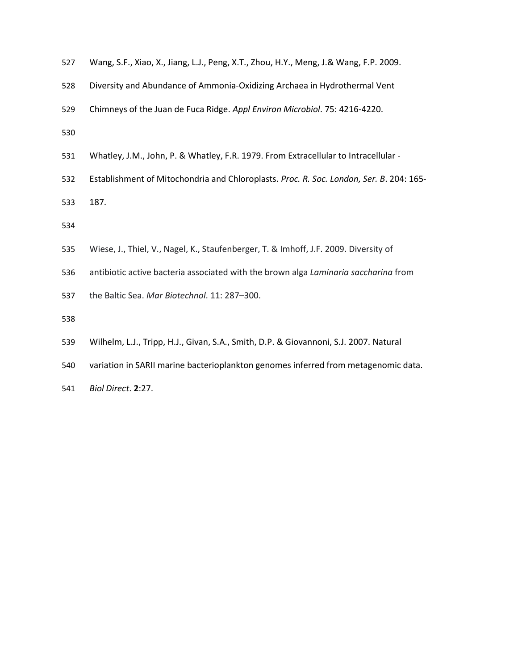| 527 | Wang, S.F., Xiao, X., Jiang, L.J., Peng, X.T., Zhou, H.Y., Meng, J.& Wang, F.P. 2009. |  |  |  |  |  |  |  |
|-----|---------------------------------------------------------------------------------------|--|--|--|--|--|--|--|
|-----|---------------------------------------------------------------------------------------|--|--|--|--|--|--|--|

- Diversity and Abundance of Ammonia-Oxidizing Archaea in Hydrothermal Vent
- Chimneys of the Juan de Fuca Ridge. *Appl Environ Microbiol*. 75: 4216-4220.
- 
- Whatley, J.M., John, P. & Whatley, F.R. 1979. From Extracellular to Intracellular -
- Establishment of Mitochondria and Chloroplasts. *Proc. R. Soc. London, Ser. B*. 204: 165-
- 187.

- Wiese, J., Thiel, V., Nagel, K., Staufenberger, T. & Imhoff, J.F. 2009. Diversity of
- antibiotic active bacteria associated with the brown alga *Laminaria saccharina* from
- the Baltic Sea. *Mar Biotechnol*. 11: 287–300.
- 
- Wilhelm, L.J., Tripp, H.J., Givan, S.A., Smith, D.P. & Giovannoni, S.J. 2007. Natural
- variation in SARII marine bacterioplankton genomes inferred from metagenomic data.
- *Biol Direct*. **2**:27.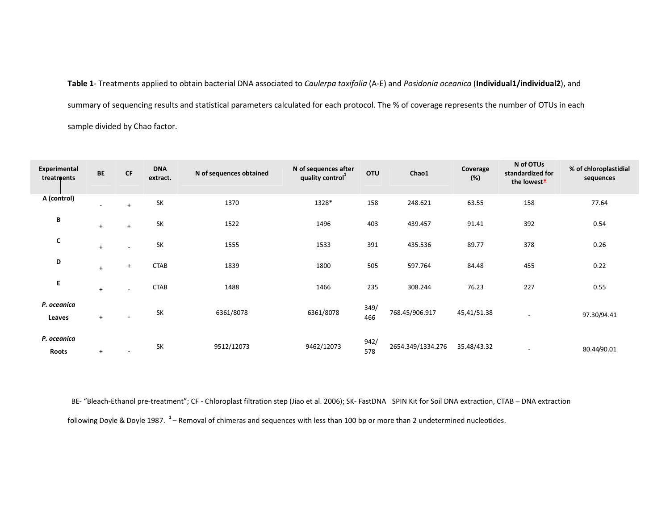**Table 1**- Treatments applied to obtain bacterial DNA associated to *Caulerpa taxifolia* (A-E) and *Posidonia oceanica* (**Individual1/individual2**), and summary of sequencing results and statistical parameters calculated for each protocol. The % of coverage represents the number of OTUs in each sample divided by Chao factor.

| <b>Experimental</b><br>treatments | <b>BE</b>                | <b>CF</b>                | <b>DNA</b><br>extract. | N of sequences obtained | N of sequences after<br>quality control <sup>1</sup> | <b>OTU</b>  | Chao1             | Coverage<br>(%) | N of OTUs<br>standardized for<br>the lowest* | % of chloroplastidial<br>sequences |
|-----------------------------------|--------------------------|--------------------------|------------------------|-------------------------|------------------------------------------------------|-------------|-------------------|-----------------|----------------------------------------------|------------------------------------|
| A (control)                       | $\overline{\phantom{0}}$ | $+$                      | SK                     | 1370                    | 1328*                                                | 158         | 248.621           | 63.55           | 158                                          | 77.64                              |
| В                                 | $+$                      | $+$                      | SK                     | 1522                    | 1496                                                 | 403         | 439.457           | 91.41           | 392                                          | 0.54                               |
| C                                 | $+$                      |                          | SK                     | 1555                    | 1533                                                 | 391         | 435.536           | 89.77           | 378                                          | 0.26                               |
| D                                 | $+$                      | $\ddot{}$                | <b>CTAB</b>            | 1839                    | 1800                                                 | 505         | 597.764           | 84.48           | 455                                          | 0.22                               |
| E.                                | $+$                      |                          | <b>CTAB</b>            | 1488                    | 1466                                                 | 235         | 308.244           | 76.23           | 227                                          | 0.55                               |
| P. oceanica<br>Leaves             | $+$                      | $\overline{\phantom{a}}$ | SK                     | 6361/8078               | 6361/8078                                            | 349/<br>466 | 768.45/906.917    | 45,41/51.38     | $\overline{\phantom{a}}$                     | 97.30/94.41                        |
| P. oceanica<br>Roots              | $+$                      | $\overline{\phantom{a}}$ | <b>SK</b>              | 9512/12073              | 9462/12073                                           | 942/<br>578 | 2654.349/1334.276 | 35.48/43.32     | $\overline{\phantom{a}}$                     | 80.44/90.01                        |

BE- "Bleach-Ethanol pre-treatment"; CF - Chloroplast filtration step (Jiao et al. 2006); SK- FastDNA<sup>®</sup> SPIN Kit for Soil DNA extraction, CTAB – DNA extraction following Doyle & Doyle 1987. **<sup>1</sup>**– Removal of chimeras and sequences with less than 100 bp or more than 2 undetermined nucleotides.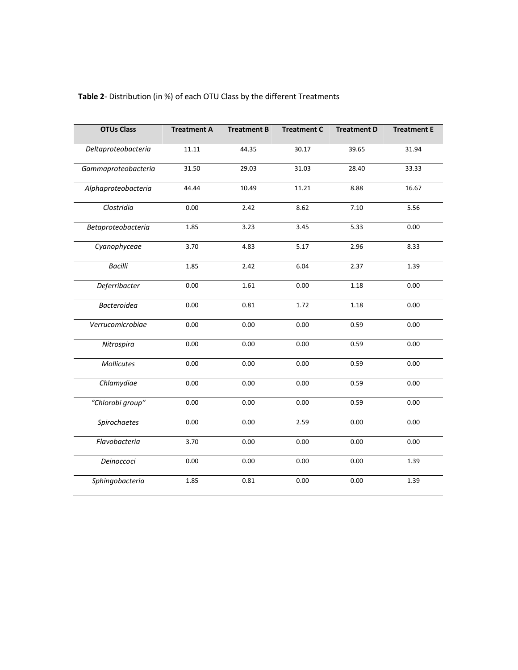| <b>OTUs Class</b>   | <b>Treatment A</b> | <b>Treatment B</b> | <b>Treatment C</b> | <b>Treatment D</b> | <b>Treatment E</b> |
|---------------------|--------------------|--------------------|--------------------|--------------------|--------------------|
| Deltaproteobacteria | 11.11              | 44.35              | 30.17              | 39.65              | 31.94              |
| Gammaproteobacteria | 31.50              | 29.03              | 31.03              | 28.40              | 33.33              |
| Alphaproteobacteria | 44.44              | 10.49              | 11.21              | 8.88               | 16.67              |
| Clostridia          | 0.00               | 2.42               | 8.62               | 7.10               | 5.56               |
| Betaproteobacteria  | 1.85               | 3.23               | 3.45               | 5.33               | 0.00               |
| Cyanophyceae        | 3.70               | 4.83               | 5.17               | 2.96               | 8.33               |
| <b>Bacilli</b>      | 1.85               | 2.42               | 6.04               | 2.37               | 1.39               |
| Deferribacter       | 0.00               | 1.61               | 0.00               | 1.18               | 0.00               |
| Bacteroidea         | 0.00               | 0.81               | 1.72               | 1.18               | 0.00               |
| Verrucomicrobiae    | 0.00               | 0.00               | 0.00               | 0.59               | 0.00               |
| Nitrospira          | 0.00               | 0.00               | 0.00               | 0.59               | 0.00               |
| Mollicutes          | 0.00               | 0.00               | 0.00               | 0.59               | 0.00               |
| Chlamydiae          | 0.00               | 0.00               | 0.00               | 0.59               | 0.00               |
| "Chlorobi group"    | 0.00               | 0.00               | 0.00               | 0.59               | 0.00               |
| Spirochaetes        | 0.00               | 0.00               | 2.59               | 0.00               | 0.00               |
| Flavobacteria       | 3.70               | 0.00               | 0.00               | 0.00               | 0.00               |
| Deinoccoci          | 0.00               | 0.00               | 0.00               | 0.00               | 1.39               |
| Sphingobacteria     | 1.85               | 0.81               | 0.00               | 0.00               | 1.39               |

# **Table 2**- Distribution (in %) of each OTU Class by the different Treatments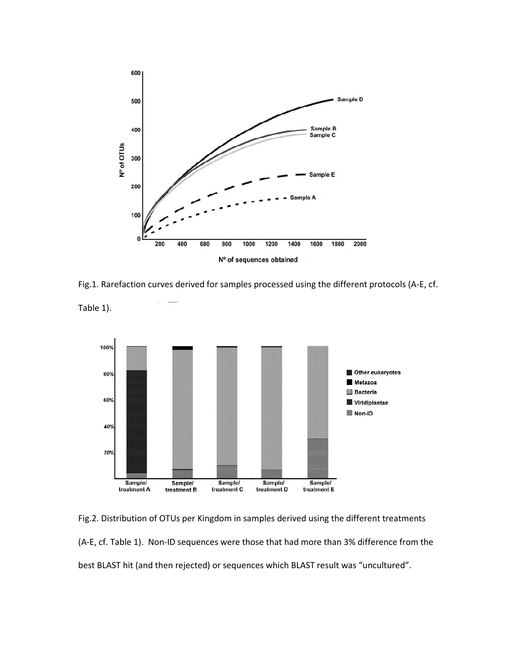

Fig.1. Rarefaction curves derived for samples processed using the different protocols (A-E, cf.

Table 1).



Fig.2. Distribution of OTUs per Kingdom in samples derived using the different treatments (A-E, cf. Table 1). Non-ID sequences were those that had more than 3% difference from the best BLAST hit (and then rejected) or sequences which BLAST result was "uncultured".